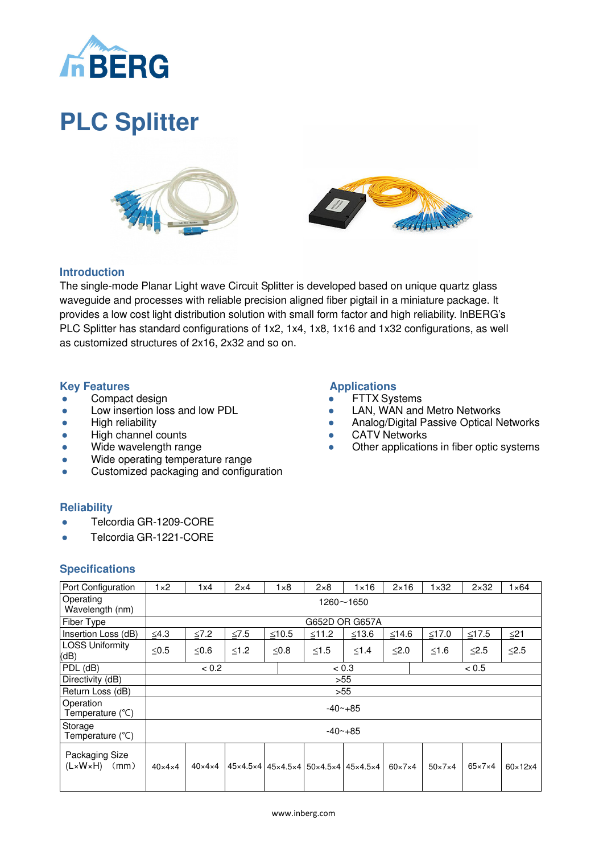

# **PLC Splitter**





**Applications** ● FTTX Systems

**•** CATV Networks

• LAN, WAN and Metro Networks

**• Analog/Digital Passive Optical Networks** 

Other applications in fiber optic systems

## **Introduction**

The single-mode Planar Light wave Circuit Splitter is developed based on unique quartz glass waveguide and processes with reliable precision aligned fiber pigtail in a miniature package. It provides a low cost light distribution solution with small form factor and high reliability. InBERG's PLC Splitter has standard configurations of 1x2, 1x4, 1x8, 1x16 and 1x32 configurations, as well as customized structures of 2x16, 2x32 and so on.

#### **Key Features**

- Compact design
- Low insertion loss and low PDL
- High reliability
- High channel counts
- Wide wavelength range
- Wide operating temperature range
- Customized packaging and configuration

## **Reliability**

- Telcordia GR-1209-CORE
- Telcordia GR-1221-CORE

#### **Specifications**

| Port Configuration                                | $1 \times 2$       | 1x4                    | $2\times 4$ | $1 \times 8$ | $2\times8$                                                                                                | $\times$ 16 | $2 \times 16$      | $1 \times 32$      | $2\times32$        | $1 \times 64$           |
|---------------------------------------------------|--------------------|------------------------|-------------|--------------|-----------------------------------------------------------------------------------------------------------|-------------|--------------------|--------------------|--------------------|-------------------------|
| Operating<br>Wavelength (nm)                      | $1260 - 1650$      |                        |             |              |                                                                                                           |             |                    |                    |                    |                         |
| Fiber Type                                        | G652D OR G657A     |                        |             |              |                                                                                                           |             |                    |                    |                    |                         |
| Insertion Loss (dB)                               | $≤4.3$             | $\leq 7.2$             | $\leq 7.5$  | $≤10.5$      | $≤11.2$                                                                                                   | $≤13.6$     | $≤14.6$            | $≤17.0$            | $≤17.5$            | ≤21                     |
| <b>LOSS Uniformity</b><br>(dB)                    | ≤0.5               | ≤0.6                   | $≤1.2$      | ≤0.8         | ≤1.5                                                                                                      | $≤1.4$      | ≤2.0               | ≤1.6               | ≦2.5               | $≤ 2.5$                 |
| PDL (dB)                                          |                    | < 0.2                  |             |              | < 0.3                                                                                                     |             |                    | < 0.5              |                    |                         |
| Directivity (dB)                                  | >55                |                        |             |              |                                                                                                           |             |                    |                    |                    |                         |
| Return Loss (dB)                                  |                    | >55                    |             |              |                                                                                                           |             |                    |                    |                    |                         |
| Operation<br>Temperature $(^{\circ}C)$            | $-40 - +85$        |                        |             |              |                                                                                                           |             |                    |                    |                    |                         |
| Storage<br>Temperature $(^{\circ}C)$              | $-40 - +85$        |                        |             |              |                                                                                                           |             |                    |                    |                    |                         |
| Packaging Size<br>$(L \times W \times H)$<br>(mm) | $40\times4\times4$ | $40 \times 4 \times 4$ |             |              | $45 \times 4.5 \times 4$   $45 \times 4.5 \times 4$   $50 \times 4.5 \times 4$   $45 \times 4.5 \times 4$ |             | $60\times7\times4$ | $50\times7\times4$ | $65\times7\times4$ | $60 \times 12 \times 4$ |